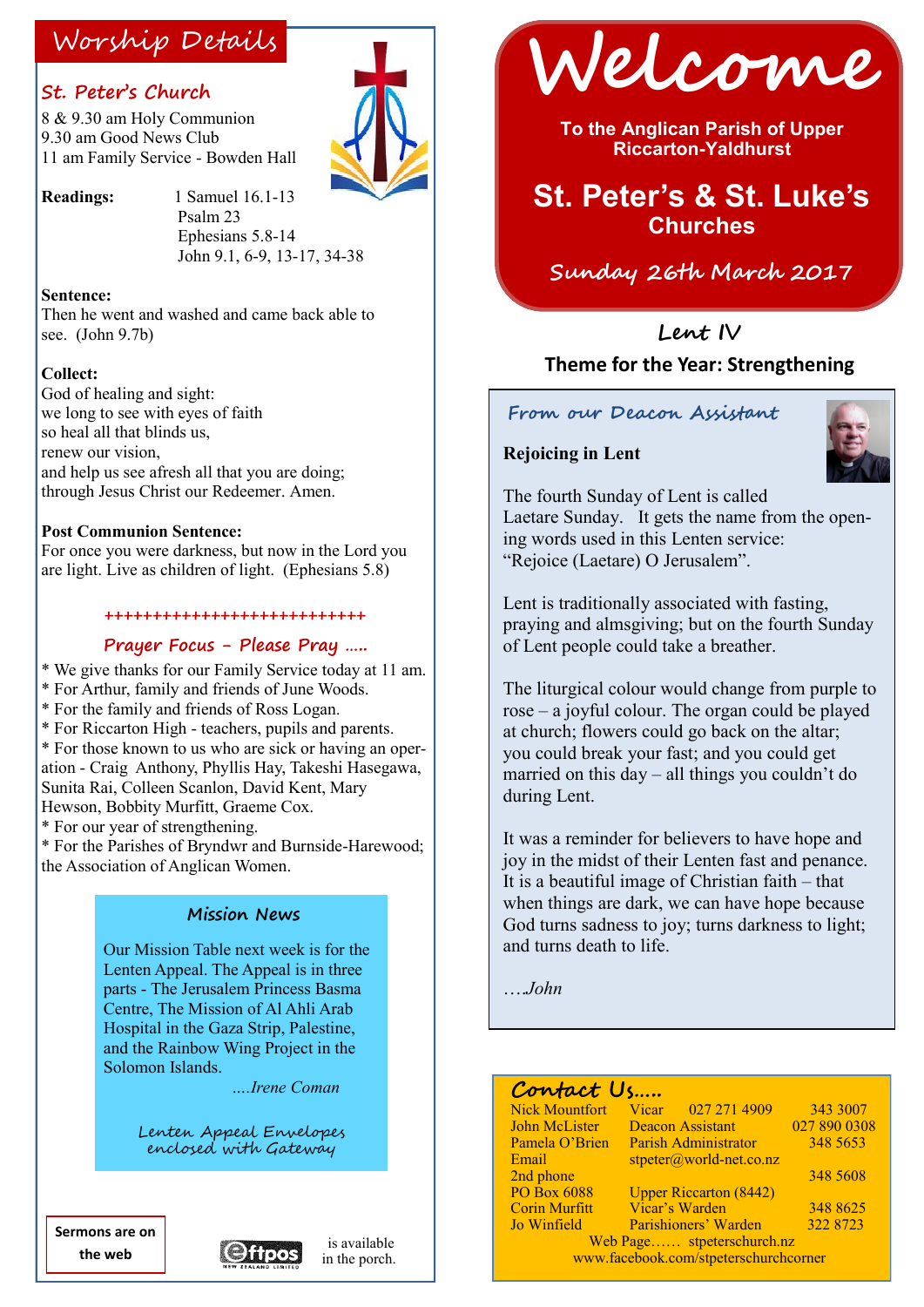#### **St. Peter's Church**

8 & 9.30 am Holy Communion 9.30 am Good News Club 11 am Family Service - Bowden Hall



**Readings:** 1 Samuel 16.1-13 Psalm 23 Ephesians 5.8-14 John 9.1, 6-9, 13-17, 34-38

**Sentence:**

Then he went and washed and came back able to see. (John 9.7b)

#### **Collect:**

God of healing and sight: we long to see with eyes of faith so heal all that blinds us, renew our vision and help us see afresh all that you are doing; through Jesus Christ our Redeemer. Amen.

#### **Post Communion Sentence:**

For once you were darkness, but now in the Lord you are light. Live as children of light. (Ephesians 5.8)

#### **+++++++++++++++++++++++++++**

#### **Prayer Focus - Please Pray …..**

\* We give thanks for our Family Service today at 11 am. \* For Arthur, family and friends of June Woods.

- \* For the family and friends of Ross Logan.
- \* For Riccarton High teachers, pupils and parents.

\* For those known to us who are sick or having an operation - Craig Anthony, Phyllis Hay, Takeshi Hasegawa, Sunita Rai, Colleen Scanlon, David Kent, Mary

Hewson, Bobbity Murfitt, Graeme Cox.

\* For our year of strengthening.

\* For the Parishes of Bryndwr and Burnside-Harewood; the Association of Anglican Women.

#### **Mission News**

Our Mission Table next week is for the Lenten Appeal. The Appeal is in three parts - The Jerusalem Princess Basma Centre, The Mission of Al Ahli Arab Hospital in the Gaza Strip, Palestine, and the Rainbow Wing Project in the Solomon Islands.

*….Irene Coman* 

Lenten Appeal Envelopes enclosed with Gateway

**Sermons are on the web**







**To the Anglican Parish of Upper Riccarton-Yaldhurst**

# **St. Peter's & St. Luke's Churches**

#### **Sunday 26th March 2017**

# **Lent IV**

#### **Theme for the Year: Strengthening**

#### **From our Deacon Assistant**

#### **Rejoicing in Lent**



The fourth Sunday of Lent is called Laetare Sunday. It gets the name from the opening words used in this Lenten service: "Rejoice (Laetare) O Jerusalem".

Lent is traditionally associated with fasting, praying and almsgiving; but on the fourth Sunday of Lent people could take a breather.

The liturgical colour would change from purple to rose – a joyful colour. The organ could be played at church; flowers could go back on the altar; you could break your fast; and you could get married on this day – all things you couldn't do during Lent.

It was a reminder for believers to have hope and joy in the midst of their Lenten fast and penance. It is a beautiful image of Christian faith – that when things are dark, we can have hope because God turns sadness to joy; turns darkness to light; and turns death to life.

….*John*

#### **Contact Us…..**

| <b>Nick Mountfort</b>                 | Vicar 027 271 4909            | 343 3007     |
|---------------------------------------|-------------------------------|--------------|
| <b>John McLister</b>                  | <b>Deacon Assistant</b>       | 027 890 0308 |
| Pamela O'Brien                        | <b>Parish Administrator</b>   | 348 5653     |
| Email                                 | $stpeter@world-net.co.nz$     |              |
| 2nd phone                             |                               | 348 5608     |
| <b>PO Box 6088</b>                    | <b>Upper Riccarton (8442)</b> |              |
| <b>Corin Murfitt</b>                  | Vicar's Warden                | 348 8625     |
| Jo Winfield                           | Parishioners' Warden          | 322 8723     |
| Web Page stpeterschurch.nz            |                               |              |
| www.facebook.com/stpeterschurchcorner |                               |              |
|                                       |                               |              |